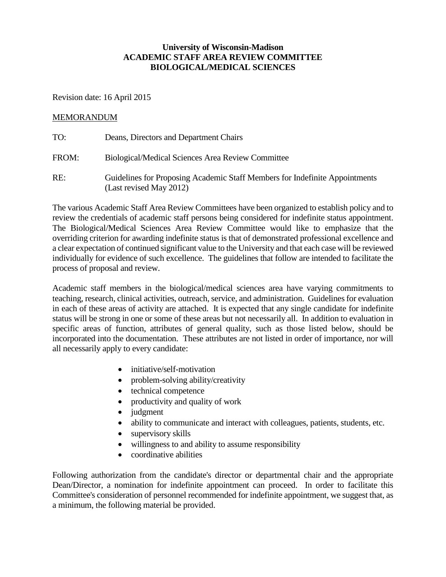# **University of Wisconsin-Madison ACADEMIC STAFF AREA REVIEW COMMITTEE BIOLOGICAL/MEDICAL SCIENCES**

Revision date: 16 April 2015

### MEMORANDUM

| TO:   | Deans, Directors and Department Chairs                                                                 |
|-------|--------------------------------------------------------------------------------------------------------|
| FROM: | <b>Biological/Medical Sciences Area Review Committee</b>                                               |
| RE:   | Guidelines for Proposing Academic Staff Members for Indefinite Appointments<br>(Last revised May 2012) |

The various Academic Staff Area Review Committees have been organized to establish policy and to review the credentials of academic staff persons being considered for indefinite status appointment. The Biological/Medical Sciences Area Review Committee would like to emphasize that the overriding criterion for awarding indefinite status is that of demonstrated professional excellence and a clear expectation of continued significant value to the University and that each case will be reviewed individually for evidence of such excellence. The guidelines that follow are intended to facilitate the process of proposal and review.

Academic staff members in the biological/medical sciences area have varying commitments to teaching, research, clinical activities, outreach, service, and administration. Guidelines for evaluation in each of these areas of activity are attached. It is expected that any single candidate for indefinite status will be strong in one or some of these areas but not necessarily all. In addition to evaluation in specific areas of function, attributes of general quality, such as those listed below, should be incorporated into the documentation. These attributes are not listed in order of importance, nor will all necessarily apply to every candidate:

- initiative/self-motivation
- problem-solving ability/creativity
- technical competence
- productivity and quality of work
- judgment
- ability to communicate and interact with colleagues, patients, students, etc.
- supervisory skills
- willingness to and ability to assume responsibility
- coordinative abilities

Following authorization from the candidate's director or departmental chair and the appropriate Dean/Director, a nomination for indefinite appointment can proceed. In order to facilitate this Committee's consideration of personnel recommended for indefinite appointment, we suggest that, as a minimum, the following material be provided.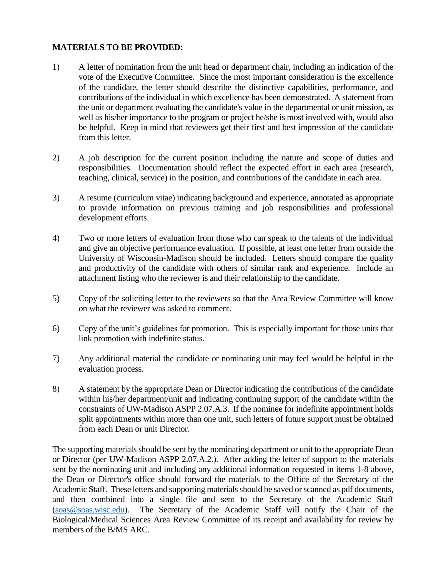## **MATERIALS TO BE PROVIDED:**

- 1) A letter of nomination from the unit head or department chair, including an indication of the vote of the Executive Committee. Since the most important consideration is the excellence of the candidate, the letter should describe the distinctive capabilities, performance, and contributions of the individual in which excellence has been demonstrated. A statement from the unit or department evaluating the candidate's value in the departmental or unit mission, as well as his/her importance to the program or project he/she is most involved with, would also be helpful. Keep in mind that reviewers get their first and best impression of the candidate from this letter.
- 2) A job description for the current position including the nature and scope of duties and responsibilities. Documentation should reflect the expected effort in each area (research, teaching, clinical, service) in the position, and contributions of the candidate in each area.
- 3) A resume (curriculum vitae) indicating background and experience, annotated as appropriate to provide information on previous training and job responsibilities and professional development efforts.
- 4) Two or more letters of evaluation from those who can speak to the talents of the individual and give an objective performance evaluation. If possible, at least one letter from outside the University of Wisconsin-Madison should be included. Letters should compare the quality and productivity of the candidate with others of similar rank and experience. Include an attachment listing who the reviewer is and their relationship to the candidate.
- 5) Copy of the soliciting letter to the reviewers so that the Area Review Committee will know on what the reviewer was asked to comment.
- 6) Copy of the unit's guidelines for promotion. This is especially important for those units that link promotion with indefinite status.
- 7) Any additional material the candidate or nominating unit may feel would be helpful in the evaluation process.
- 8) A statement by the appropriate Dean or Director indicating the contributions of the candidate within his/her department/unit and indicating continuing support of the candidate within the constraints of UW-Madison ASPP 2.07.A.3. If the nominee for indefinite appointment holds split appointments within more than one unit, such letters of future support must be obtained from each Dean or unit Director.

The supporting materials should be sent by the nominating department or unit to the appropriate Dean or Director (per UW-Madison ASPP 2.07.A.2.). After adding the letter of support to the materials sent by the nominating unit and including any additional information requested in items 1-8 above, the Dean or Director's office should forward the materials to the Office of the Secretary of the Academic Staff. These letters and supporting materials should be saved or scanned as pdf documents, and then combined into a single file and sent to the Secretary of the Academic Staff [\(soas@soas.wisc.edu\)](mailto:soas@soas.wisc.edu). The Secretary of the Academic Staff will notify the Chair of the Biological/Medical Sciences Area Review Committee of its receipt and availability for review by members of the B/MS ARC.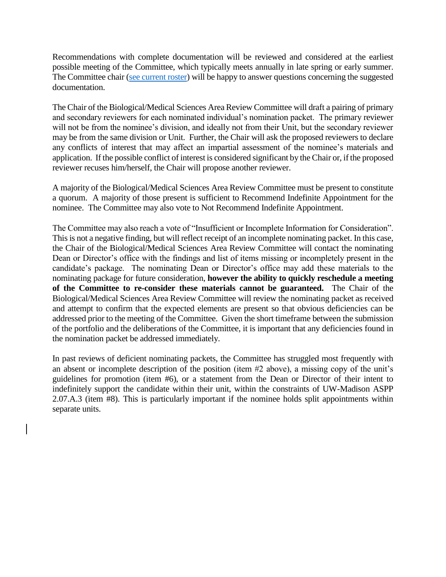Recommendations with complete documentation will be reviewed and considered at the earliest possible meeting of the Committee, which typically meets annually in late spring or early summer. The Committee chair [\(see current roster\)](http://acstaff.wisc.edu/governance/personnel-related-committees/area-review-committees) will be happy to answer questions concerning the suggested documentation.

The Chair of the Biological/Medical Sciences Area Review Committee will draft a pairing of primary and secondary reviewers for each nominated individual's nomination packet. The primary reviewer will not be from the nominee's division, and ideally not from their Unit, but the secondary reviewer may be from the same division or Unit. Further, the Chair will ask the proposed reviewers to declare any conflicts of interest that may affect an impartial assessment of the nominee's materials and application. If the possible conflict of interest is considered significant by the Chair or, if the proposed reviewer recuses him/herself, the Chair will propose another reviewer.

A majority of the Biological/Medical Sciences Area Review Committee must be present to constitute a quorum. A majority of those present is sufficient to Recommend Indefinite Appointment for the nominee. The Committee may also vote to Not Recommend Indefinite Appointment.

The Committee may also reach a vote of "Insufficient or Incomplete Information for Consideration". This is not a negative finding, but will reflect receipt of an incomplete nominating packet. In this case, the Chair of the Biological/Medical Sciences Area Review Committee will contact the nominating Dean or Director's office with the findings and list of items missing or incompletely present in the candidate's package. The nominating Dean or Director's office may add these materials to the nominating package for future consideration, **however the ability to quickly reschedule a meeting of the Committee to re-consider these materials cannot be guaranteed.** The Chair of the Biological/Medical Sciences Area Review Committee will review the nominating packet as received and attempt to confirm that the expected elements are present so that obvious deficiencies can be addressed prior to the meeting of the Committee. Given the short timeframe between the submission of the portfolio and the deliberations of the Committee, it is important that any deficiencies found in the nomination packet be addressed immediately.

In past reviews of deficient nominating packets, the Committee has struggled most frequently with an absent or incomplete description of the position (item #2 above), a missing copy of the unit's guidelines for promotion (item #6), or a statement from the Dean or Director of their intent to indefinitely support the candidate within their unit, within the constraints of UW-Madison ASPP 2.07.A.3 (item #8). This is particularly important if the nominee holds split appointments within separate units.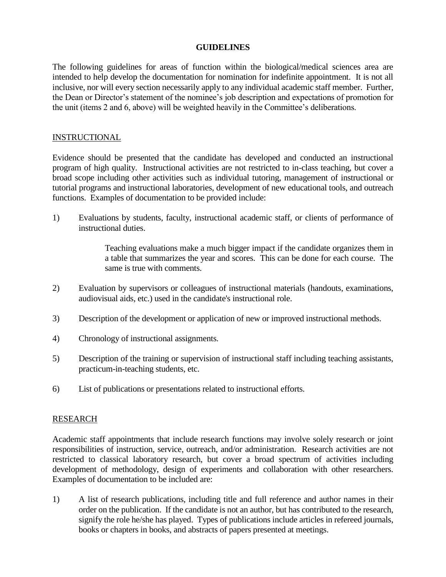#### **GUIDELINES**

The following guidelines for areas of function within the biological/medical sciences area are intended to help develop the documentation for nomination for indefinite appointment. It is not all inclusive, nor will every section necessarily apply to any individual academic staff member. Further, the Dean or Director's statement of the nominee's job description and expectations of promotion for the unit (items 2 and 6, above) will be weighted heavily in the Committee's deliberations.

#### **INSTRUCTIONAL**

Evidence should be presented that the candidate has developed and conducted an instructional program of high quality. Instructional activities are not restricted to in-class teaching, but cover a broad scope including other activities such as individual tutoring, management of instructional or tutorial programs and instructional laboratories, development of new educational tools, and outreach functions. Examples of documentation to be provided include:

1) Evaluations by students, faculty, instructional academic staff, or clients of performance of instructional duties.

> Teaching evaluations make a much bigger impact if the candidate organizes them in a table that summarizes the year and scores. This can be done for each course. The same is true with comments.

- 2) Evaluation by supervisors or colleagues of instructional materials (handouts, examinations, audiovisual aids, etc.) used in the candidate's instructional role.
- 3) Description of the development or application of new or improved instructional methods.
- 4) Chronology of instructional assignments.
- 5) Description of the training or supervision of instructional staff including teaching assistants, practicum-in-teaching students, etc.
- 6) List of publications or presentations related to instructional efforts.

### RESEARCH

Academic staff appointments that include research functions may involve solely research or joint responsibilities of instruction, service, outreach, and/or administration. Research activities are not restricted to classical laboratory research, but cover a broad spectrum of activities including development of methodology, design of experiments and collaboration with other researchers. Examples of documentation to be included are:

1) A list of research publications, including title and full reference and author names in their order on the publication. If the candidate is not an author, but has contributed to the research, signify the role he/she has played. Types of publications include articles in refereed journals, books or chapters in books, and abstracts of papers presented at meetings.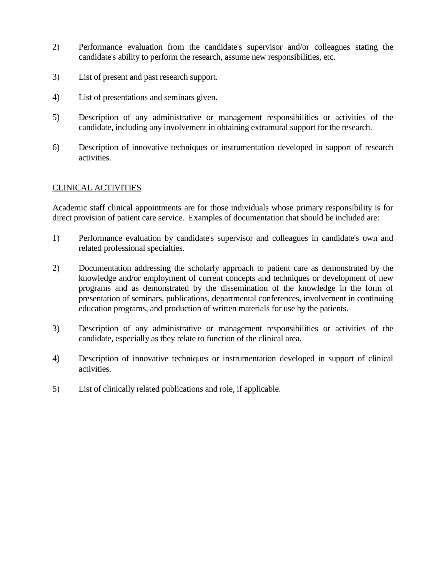- 2) Performance evaluation from the candidate's supervisor and/or colleagues stating the candidate's ability to perform the research, assume new responsibilities, etc.
- 3) List of present and past research support.
- 4) List of presentations and seminars given.
- 5) Description of any administrative or management responsibilities or activities of the candidate, including any involvement in obtaining extramural support for the research.
- 6) Description of innovative techniques or instrumentation developed in support of research activities.

# CLINICAL ACTIVITIES

Academic staff clinical appointments are for those individuals whose primary responsibility is for direct provision of patient care service. Examples of documentation that should be included are:

- 1) Performance evaluation by candidate's supervisor and colleagues in candidate's own and related professional specialties.
- 2) Documentation addressing the scholarly approach to patient care as demonstrated by the knowledge and/or employment of current concepts and techniques or development of new programs and as demonstrated by the dissemination of the knowledge in the form of presentation of seminars, publications, departmental conferences, involvement in continuing education programs, and production of written materials for use by the patients.
- 3) Description of any administrative or management responsibilities or activities of the candidate, especially as they relate to function of the clinical area.
- 4) Description of innovative techniques or instrumentation developed in support of clinical activities.
- 5) List of clinically related publications and role, if applicable.